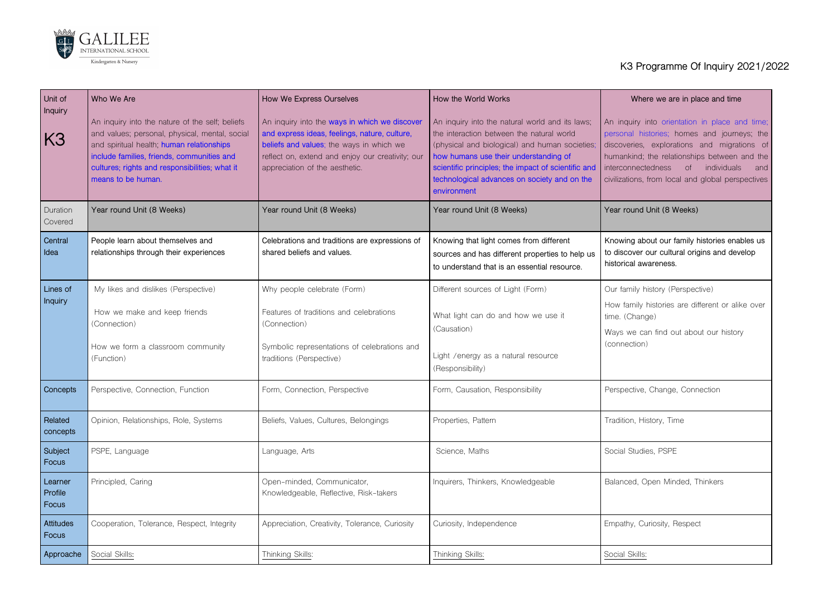## **Where we are in place and time**

uiry into orientation in place and time; histories; homes and journeys; the eries, explorations and migrations of kind; the relationships between and the intectedness of individuals and ons, from local and global perspectives

**Yund Unit (8 Weeks)** 



| Unit of                            | Who We Are                                                                                                                                                                                                                                                           | How We Express Ourselves                                                                                                                                                                                                         | How the World Works                                                                                                                                                                                                                                                                                           | Where we are i                                                                                                                                                    |
|------------------------------------|----------------------------------------------------------------------------------------------------------------------------------------------------------------------------------------------------------------------------------------------------------------------|----------------------------------------------------------------------------------------------------------------------------------------------------------------------------------------------------------------------------------|---------------------------------------------------------------------------------------------------------------------------------------------------------------------------------------------------------------------------------------------------------------------------------------------------------------|-------------------------------------------------------------------------------------------------------------------------------------------------------------------|
| Inquiry<br>K3                      | An inquiry into the nature of the self; beliefs<br>and values; personal, physical, mental, social<br>and spiritual health; human relationships<br>include families, friends, communities and<br>cultures; rights and responsibilities; what it<br>means to be human. | An inquiry into the ways in which we discover<br>and express ideas, feelings, nature, culture,<br>beliefs and values; the ways in which we<br>reflect on, extend and enjoy our creativity; our<br>appreciation of the aesthetic. | An inquiry into the natural world and its laws;<br>the interaction between the natural world<br>(physical and biological) and human societies;<br>how humans use their understanding of<br>scientific principles; the impact of scientific and<br>technological advances on society and on the<br>environment | An inquiry into orienta<br>personal histories; ho<br>discoveries, exploratio<br>humankind; the relation<br><i>interconnectedness</i><br>civilizations, from local |
| Duration<br>Covered                | Year round Unit (8 Weeks)                                                                                                                                                                                                                                            | Year round Unit (8 Weeks)                                                                                                                                                                                                        | Year round Unit (8 Weeks)                                                                                                                                                                                                                                                                                     | Year round Unit (8 We                                                                                                                                             |
| <b>Central</b><br>Idea             | People learn about themselves and<br>relationships through their experiences                                                                                                                                                                                         | Celebrations and traditions are expressions of<br>shared beliefs and values.                                                                                                                                                     | Knowing that light comes from different<br>sources and has different properties to help us<br>to understand that is an essential resource.                                                                                                                                                                    | Knowing about our fan<br>to discover our cultura<br>historical awareness.                                                                                         |
| Lines of<br>Inquiry                | My likes and dislikes (Perspective)<br>How we make and keep friends<br>(Connection)<br>How we form a classroom community<br>(Function)                                                                                                                               | Why people celebrate (Form)<br>Features of traditions and celebrations<br>(Connection)<br>Symbolic representations of celebrations and<br>traditions (Perspective)                                                               | Different sources of Light (Form)<br>What light can do and how we use it<br>(Causation)<br>Light / energy as a natural resource<br>(Responsibility)                                                                                                                                                           | Our family history (Pers<br>How family histories ar<br>time. (Change)<br>Ways we can find out<br>(connection)                                                     |
| <b>Concepts</b>                    | Perspective, Connection, Function                                                                                                                                                                                                                                    | Form, Connection, Perspective                                                                                                                                                                                                    | Form, Causation, Responsibility                                                                                                                                                                                                                                                                               | Perspective, Change, O                                                                                                                                            |
| Related<br>concepts                | Opinion, Relationships, Role, Systems                                                                                                                                                                                                                                | Beliefs, Values, Cultures, Belongings                                                                                                                                                                                            | Properties, Pattern                                                                                                                                                                                                                                                                                           | Tradition, History, Time                                                                                                                                          |
| Subject<br>Focus                   | PSPE, Language                                                                                                                                                                                                                                                       | Language, Arts                                                                                                                                                                                                                   | Science, Maths                                                                                                                                                                                                                                                                                                | Social Studies, PSPE                                                                                                                                              |
| Learner<br><b>Profile</b><br>Focus | Principled, Caring                                                                                                                                                                                                                                                   | Open-minded, Communicator,<br>Knowledgeable, Reflective, Risk-takers                                                                                                                                                             | Inquirers, Thinkers, Knowledgeable                                                                                                                                                                                                                                                                            | Balanced, Open Minde                                                                                                                                              |
| <b>Attitudes</b><br>Focus          | Cooperation, Tolerance, Respect, Integrity                                                                                                                                                                                                                           | Appreciation, Creativity, Tolerance, Curiosity                                                                                                                                                                                   | Curiosity, Independence                                                                                                                                                                                                                                                                                       | Empathy, Curiosity, Res                                                                                                                                           |
| Approache                          | Social Skills:                                                                                                                                                                                                                                                       | Thinking Skills:                                                                                                                                                                                                                 | Thinking Skills:                                                                                                                                                                                                                                                                                              | Social Skills:                                                                                                                                                    |

## **K3 Programme Of Inquiry 2021/2022**

**Knowing about our family histories enables us to discover our cultural origins and develop historical awareness.**

mily history (Perspective)

mily histories are different or alike over Change)

we can find out about our history ction)

ctive, Change, Connection

ed, Open Minded, Thinkers

ny, Curiosity, Respect